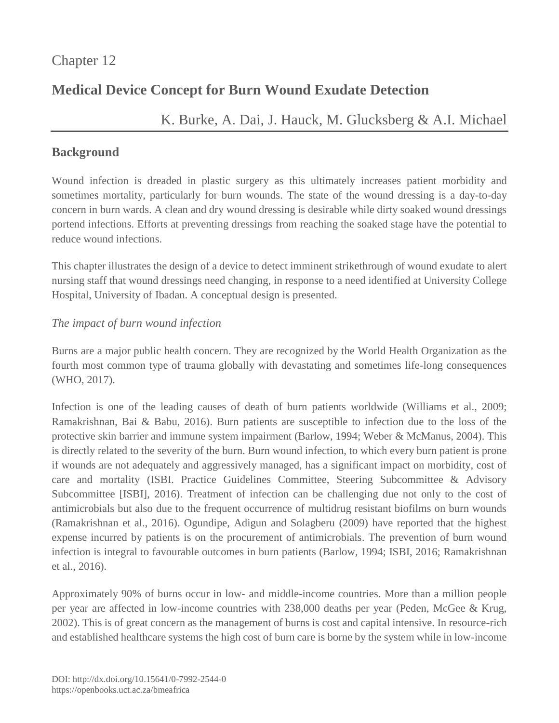# Chapter 12

# **Medical Device Concept for Burn Wound Exudate Detection**

# K. Burke, A. Dai, J. Hauck, M. Glucksberg & A.I. Michael

## **Background**

Wound infection is dreaded in plastic surgery as this ultimately increases patient morbidity and sometimes mortality, particularly for burn wounds. The state of the wound dressing is a day-to-day concern in burn wards. A clean and dry wound dressing is desirable while dirty soaked wound dressings portend infections. Efforts at preventing dressings from reaching the soaked stage have the potential to reduce wound infections.

This chapter illustrates the design of a device to detect imminent strikethrough of wound exudate to alert nursing staff that wound dressings need changing, in response to a need identified at University College Hospital, University of Ibadan. A conceptual design is presented.

#### *The impact of burn wound infection*

Burns are a major public health concern. They are recognized by the World Health Organization as the fourth most common type of trauma globally with devastating and sometimes life-long consequences (WHO, 2017).

Infection is one of the leading causes of death of burn patients worldwide (Williams et al., 2009; Ramakrishnan, Bai & Babu, 2016). Burn patients are susceptible to infection due to the loss of the protective skin barrier and immune system impairment (Barlow, 1994; Weber & McManus, 2004). This is directly related to the severity of the burn. Burn wound infection, to which every burn patient is prone if wounds are not adequately and aggressively managed, has a significant impact on morbidity, cost of care and mortality (ISBI. Practice Guidelines Committee, Steering Subcommittee & Advisory Subcommittee [ISBI], 2016). Treatment of infection can be challenging due not only to the cost of antimicrobials but also due to the frequent occurrence of multidrug resistant biofilms on burn wounds (Ramakrishnan et al., 2016). Ogundipe, Adigun and Solagberu (2009) have reported that the highest expense incurred by patients is on the procurement of antimicrobials. The prevention of burn wound infection is integral to favourable outcomes in burn patients (Barlow, 1994; ISBI, 2016; Ramakrishnan et al., 2016).

Approximately 90% of burns occur in low- and middle-income countries. More than a million people per year are affected in low-income countries with 238,000 deaths per year (Peden, McGee & Krug, 2002). This is of great concern as the management of burns is cost and capital intensive. In resource-rich and established healthcare systems the high cost of burn care is borne by the system while in low-income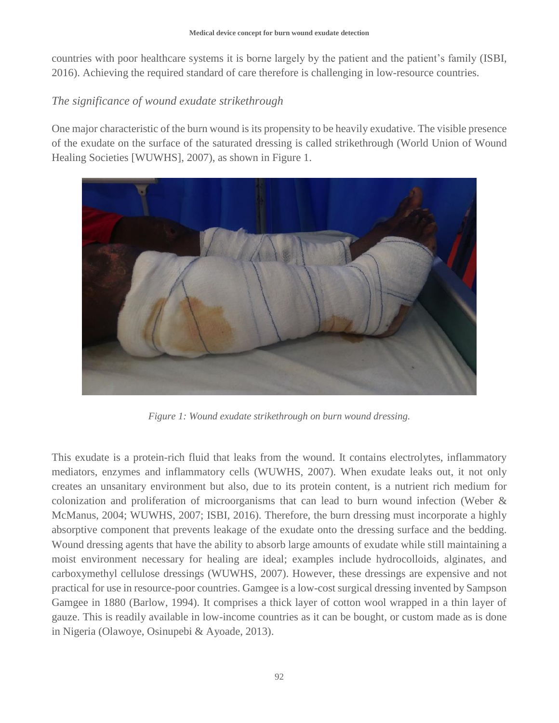countries with poor healthcare systems it is borne largely by the patient and the patient's family (ISBI, 2016). Achieving the required standard of care therefore is challenging in low-resource countries.

### *The significance of wound exudate strikethrough*

One major characteristic of the burn wound is its propensity to be heavily exudative. The visible presence of the exudate on the surface of the saturated dressing is called strikethrough (World Union of Wound Healing Societies [WUWHS], 2007), as shown in Figure 1.



*Figure 1: Wound exudate strikethrough on burn wound dressing.*

This exudate is a protein-rich fluid that leaks from the wound. It contains electrolytes, inflammatory mediators, enzymes and inflammatory cells (WUWHS, 2007). When exudate leaks out, it not only creates an unsanitary environment but also, due to its protein content, is a nutrient rich medium for colonization and proliferation of microorganisms that can lead to burn wound infection (Weber & McManus, 2004; WUWHS, 2007; ISBI, 2016). Therefore, the burn dressing must incorporate a highly absorptive component that prevents leakage of the exudate onto the dressing surface and the bedding. Wound dressing agents that have the ability to absorb large amounts of exudate while still maintaining a moist environment necessary for healing are ideal; examples include hydrocolloids, alginates, and carboxymethyl cellulose dressings (WUWHS, 2007). However, these dressings are expensive and not practical for use in resource-poor countries. Gamgee is a low-cost surgical dressing invented by Sampson Gamgee in 1880 (Barlow, 1994). It comprises a thick layer of cotton wool wrapped in a thin layer of gauze. This is readily available in low-income countries as it can be bought, or custom made as is done in Nigeria (Olawoye, Osinupebi & Ayoade, 2013).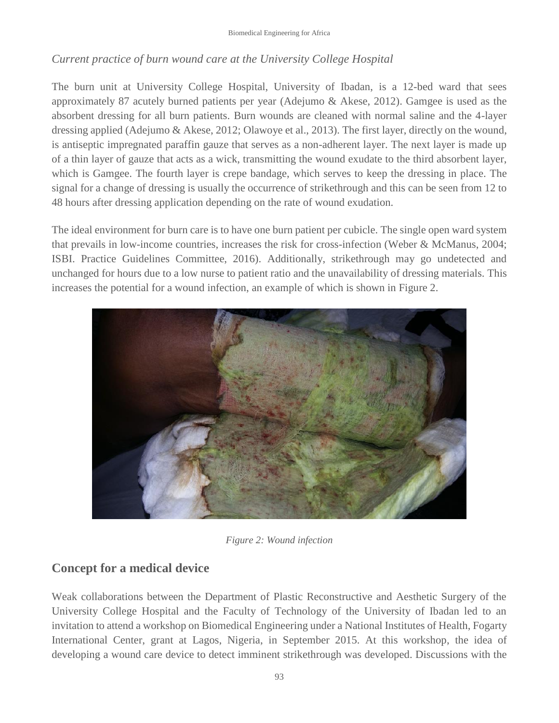## *Current practice of burn wound care at the University College Hospital*

The burn unit at University College Hospital, University of Ibadan, is a 12-bed ward that sees approximately 87 acutely burned patients per year (Adejumo & Akese, 2012). Gamgee is used as the absorbent dressing for all burn patients. Burn wounds are cleaned with normal saline and the 4-layer dressing applied (Adejumo & Akese, 2012; Olawoye et al., 2013). The first layer, directly on the wound, is antiseptic impregnated paraffin gauze that serves as a non-adherent layer. The next layer is made up of a thin layer of gauze that acts as a wick, transmitting the wound exudate to the third absorbent layer, which is Gamgee. The fourth layer is crepe bandage, which serves to keep the dressing in place. The signal for a change of dressing is usually the occurrence of strikethrough and this can be seen from 12 to 48 hours after dressing application depending on the rate of wound exudation.

The ideal environment for burn care is to have one burn patient per cubicle. The single open ward system that prevails in low-income countries, increases the risk for cross-infection (Weber & McManus, 2004; ISBI. Practice Guidelines Committee, 2016). Additionally, strikethrough may go undetected and unchanged for hours due to a low nurse to patient ratio and the unavailability of dressing materials. This increases the potential for a wound infection, an example of which is shown in Figure 2.



*Figure 2: Wound infection*

# **Concept for a medical device**

Weak collaborations between the Department of Plastic Reconstructive and Aesthetic Surgery of the University College Hospital and the Faculty of Technology of the University of Ibadan led to an invitation to attend a workshop on Biomedical Engineering under a National Institutes of Health, Fogarty International Center, grant at Lagos, Nigeria, in September 2015. At this workshop, the idea of developing a wound care device to detect imminent strikethrough was developed. Discussions with the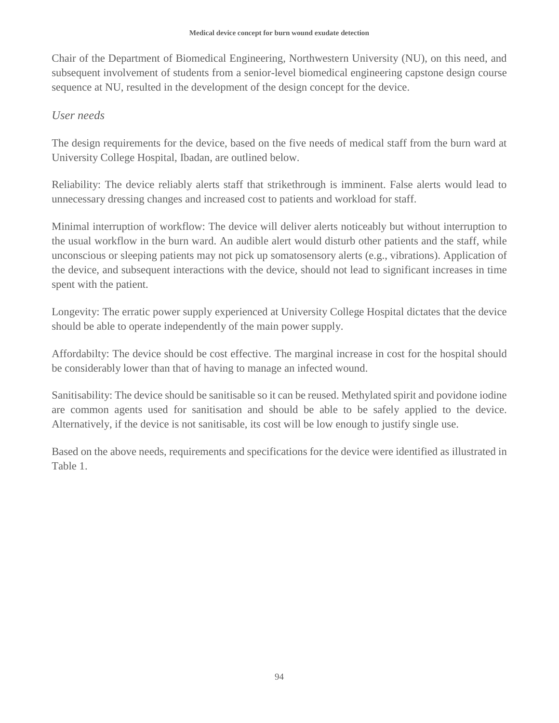Chair of the Department of Biomedical Engineering, Northwestern University (NU), on this need, and subsequent involvement of students from a senior-level biomedical engineering capstone design course sequence at NU, resulted in the development of the design concept for the device.

#### *User needs*

The design requirements for the device, based on the five needs of medical staff from the burn ward at University College Hospital, Ibadan, are outlined below.

Reliability: The device reliably alerts staff that strikethrough is imminent. False alerts would lead to unnecessary dressing changes and increased cost to patients and workload for staff.

Minimal interruption of workflow: The device will deliver alerts noticeably but without interruption to the usual workflow in the burn ward. An audible alert would disturb other patients and the staff, while unconscious or sleeping patients may not pick up somatosensory alerts (e.g., vibrations). Application of the device, and subsequent interactions with the device, should not lead to significant increases in time spent with the patient.

Longevity: The erratic power supply experienced at University College Hospital dictates that the device should be able to operate independently of the main power supply.

Affordabilty: The device should be cost effective. The marginal increase in cost for the hospital should be considerably lower than that of having to manage an infected wound.

Sanitisability: The device should be sanitisable so it can be reused. Methylated spirit and povidone iodine are common agents used for sanitisation and should be able to be safely applied to the device. Alternatively, if the device is not sanitisable, its cost will be low enough to justify single use.

Based on the above needs, requirements and specifications for the device were identified as illustrated in Table 1.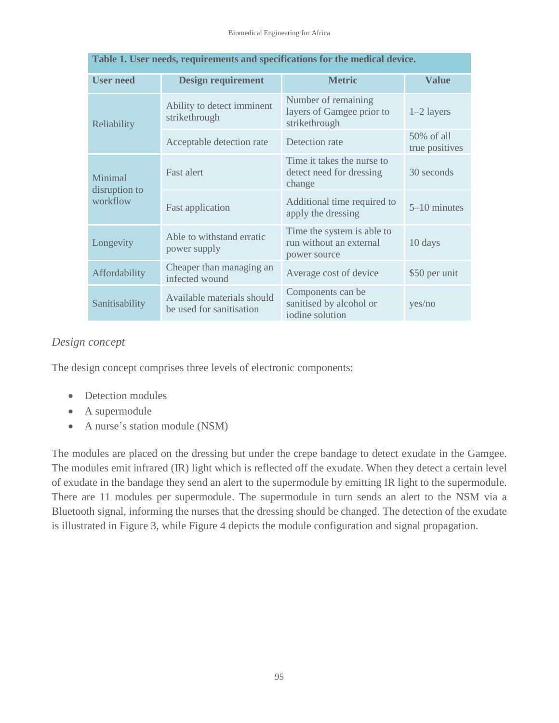| <b>User need</b>                                                         | <b>Design requirement</b>                   | <b>Metric</b>                                                         | <b>Value</b>                 |
|--------------------------------------------------------------------------|---------------------------------------------|-----------------------------------------------------------------------|------------------------------|
| Reliability                                                              | Ability to detect imminent<br>strikethrough | Number of remaining<br>layers of Gamgee prior to<br>strikethrough     | $1-2$ layers                 |
|                                                                          | Acceptable detection rate                   | Detection rate                                                        | 50% of all<br>true positives |
| Minimal<br>disruption to<br>workflow                                     | <b>Fast alert</b>                           | Time it takes the nurse to<br>detect need for dressing<br>change      | 30 seconds                   |
|                                                                          | Fast application                            | Additional time required to<br>apply the dressing                     | $5-10$ minutes               |
| Longevity                                                                | Able to withstand erratic<br>power supply   | Time the system is able to<br>run without an external<br>power source | 10 days                      |
| Affordability                                                            | Cheaper than managing an<br>infected wound  | Average cost of device                                                | \$50 per unit                |
| Available materials should<br>Sanitisability<br>be used for sanitisation |                                             | Components can be<br>sanitised by alcohol or<br>iodine solution       | yes/no                       |

**Table 1. User needs, requirements and specifications for the medical device.**

### *Design concept*

The design concept comprises three levels of electronic components:

- Detection modules
- A supermodule
- A nurse's station module (NSM)

The modules are placed on the dressing but under the crepe bandage to detect exudate in the Gamgee. The modules emit infrared (IR) light which is reflected off the exudate. When they detect a certain level of exudate in the bandage they send an alert to the supermodule by emitting IR light to the supermodule. There are 11 modules per supermodule. The supermodule in turn sends an alert to the NSM via a Bluetooth signal, informing the nurses that the dressing should be changed. The detection of the exudate is illustrated in Figure 3, while Figure 4 depicts the module configuration and signal propagation.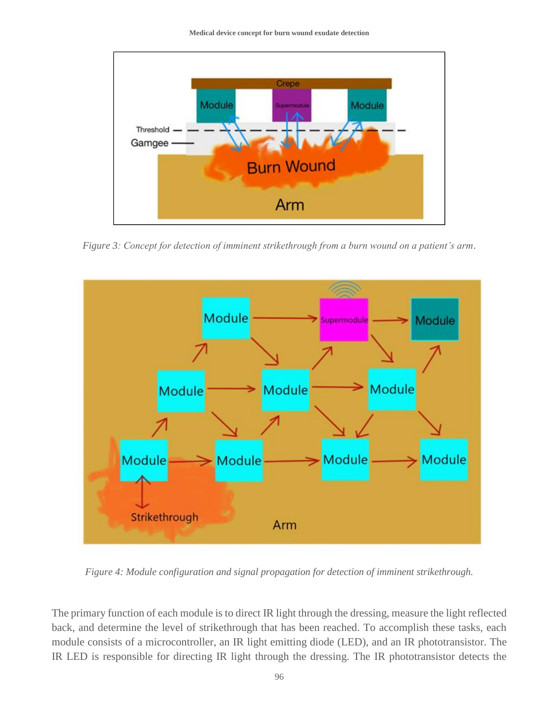

*Figure 3: Concept for detection of imminent strikethrough from a burn wound on a patient's arm*.



*Figure 4: Module configuration and signal propagation for detection of imminent strikethrough.*

The primary function of each module is to direct IR light through the dressing, measure the light reflected back, and determine the level of strikethrough that has been reached. To accomplish these tasks, each module consists of a microcontroller, an IR light emitting diode (LED), and an IR phototransistor. The IR LED is responsible for directing IR light through the dressing. The IR phototransistor detects the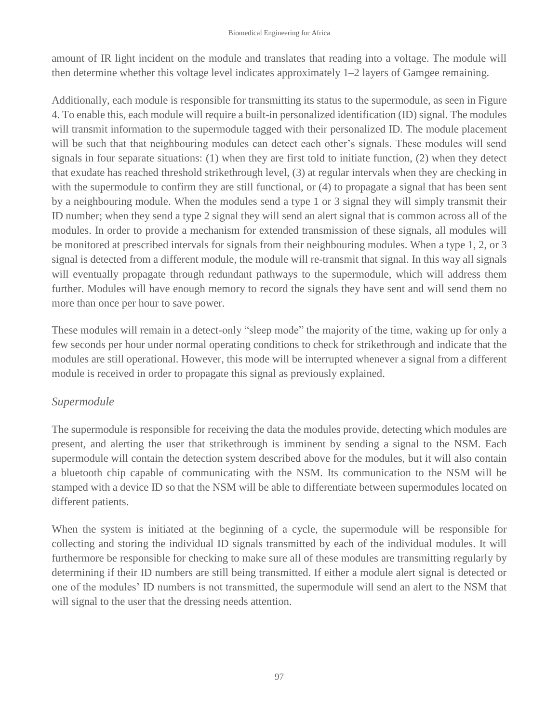amount of IR light incident on the module and translates that reading into a voltage. The module will then determine whether this voltage level indicates approximately 1–2 layers of Gamgee remaining.

Additionally, each module is responsible for transmitting its status to the supermodule, as seen in Figure 4. To enable this, each module will require a built-in personalized identification (ID) signal. The modules will transmit information to the supermodule tagged with their personalized ID. The module placement will be such that that neighbouring modules can detect each other's signals. These modules will send signals in four separate situations: (1) when they are first told to initiate function, (2) when they detect that exudate has reached threshold strikethrough level, (3) at regular intervals when they are checking in with the supermodule to confirm they are still functional, or  $(4)$  to propagate a signal that has been sent by a neighbouring module. When the modules send a type 1 or 3 signal they will simply transmit their ID number; when they send a type 2 signal they will send an alert signal that is common across all of the modules. In order to provide a mechanism for extended transmission of these signals, all modules will be monitored at prescribed intervals for signals from their neighbouring modules. When a type 1, 2, or 3 signal is detected from a different module, the module will re-transmit that signal. In this way all signals will eventually propagate through redundant pathways to the supermodule, which will address them further. Modules will have enough memory to record the signals they have sent and will send them no more than once per hour to save power.

These modules will remain in a detect-only "sleep mode" the majority of the time, waking up for only a few seconds per hour under normal operating conditions to check for strikethrough and indicate that the modules are still operational. However, this mode will be interrupted whenever a signal from a different module is received in order to propagate this signal as previously explained.

## *Supermodule*

The supermodule is responsible for receiving the data the modules provide, detecting which modules are present, and alerting the user that strikethrough is imminent by sending a signal to the NSM. Each supermodule will contain the detection system described above for the modules, but it will also contain a bluetooth chip capable of communicating with the NSM. Its communication to the NSM will be stamped with a device ID so that the NSM will be able to differentiate between supermodules located on different patients.

When the system is initiated at the beginning of a cycle, the supermodule will be responsible for collecting and storing the individual ID signals transmitted by each of the individual modules. It will furthermore be responsible for checking to make sure all of these modules are transmitting regularly by determining if their ID numbers are still being transmitted. If either a module alert signal is detected or one of the modules' ID numbers is not transmitted, the supermodule will send an alert to the NSM that will signal to the user that the dressing needs attention.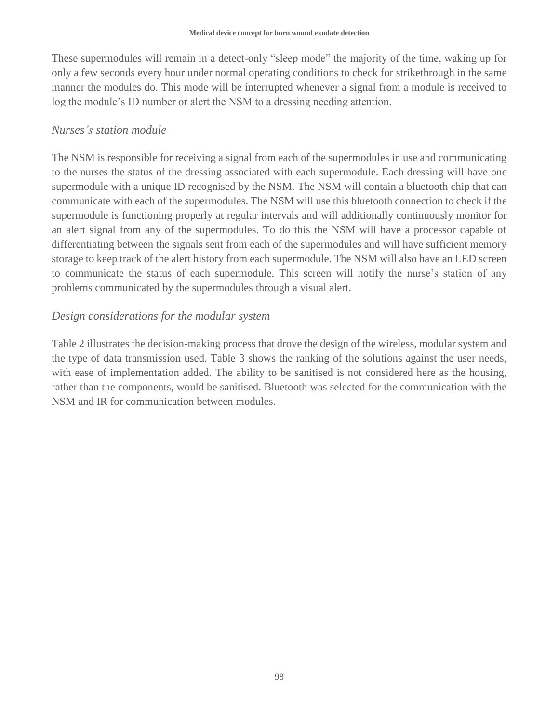These supermodules will remain in a detect-only "sleep mode" the majority of the time, waking up for only a few seconds every hour under normal operating conditions to check for strikethrough in the same manner the modules do. This mode will be interrupted whenever a signal from a module is received to log the module's ID number or alert the NSM to a dressing needing attention.

#### *Nurses's station module*

The NSM is responsible for receiving a signal from each of the supermodules in use and communicating to the nurses the status of the dressing associated with each supermodule. Each dressing will have one supermodule with a unique ID recognised by the NSM. The NSM will contain a bluetooth chip that can communicate with each of the supermodules. The NSM will use this bluetooth connection to check if the supermodule is functioning properly at regular intervals and will additionally continuously monitor for an alert signal from any of the supermodules. To do this the NSM will have a processor capable of differentiating between the signals sent from each of the supermodules and will have sufficient memory storage to keep track of the alert history from each supermodule. The NSM will also have an LED screen to communicate the status of each supermodule. This screen will notify the nurse's station of any problems communicated by the supermodules through a visual alert.

### *Design considerations for the modular system*

Table 2 illustrates the decision-making process that drove the design of the wireless, modular system and the type of data transmission used. Table 3 shows the ranking of the solutions against the user needs, with ease of implementation added. The ability to be sanitised is not considered here as the housing, rather than the components, would be sanitised. Bluetooth was selected for the communication with the NSM and IR for communication between modules.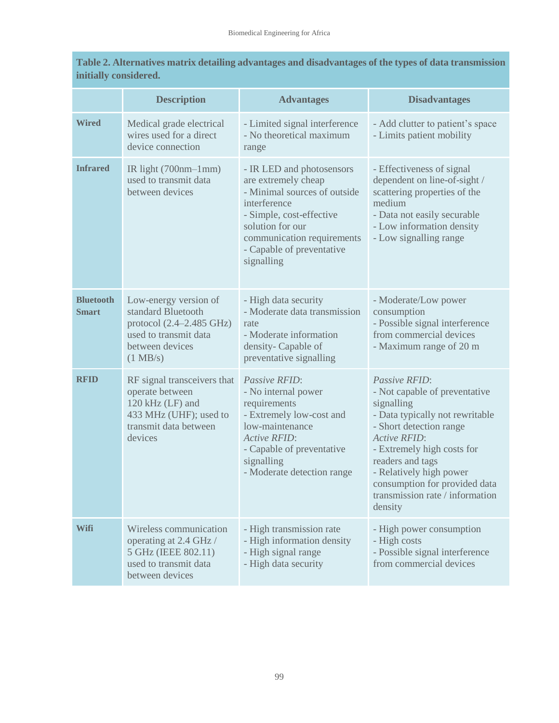| Table 2. Alternatives matrix detailing advantages and disadvantages of the types of data transmission |  |  |  |
|-------------------------------------------------------------------------------------------------------|--|--|--|
| initially considered.                                                                                 |  |  |  |

|                                  | <b>Description</b>                                                                                                                                  | <b>Advantages</b>                                                                                                                                                                                                         | <b>Disadvantages</b>                                                                                                                                                                                                                                                                                                 |
|----------------------------------|-----------------------------------------------------------------------------------------------------------------------------------------------------|---------------------------------------------------------------------------------------------------------------------------------------------------------------------------------------------------------------------------|----------------------------------------------------------------------------------------------------------------------------------------------------------------------------------------------------------------------------------------------------------------------------------------------------------------------|
| <b>Wired</b>                     | Medical grade electrical<br>wires used for a direct<br>device connection                                                                            | - Limited signal interference<br>- No theoretical maximum<br>range                                                                                                                                                        | - Add clutter to patient's space<br>- Limits patient mobility                                                                                                                                                                                                                                                        |
| <b>Infrared</b>                  | IR light (700nm-1mm)<br>used to transmit data<br>between devices                                                                                    | - IR LED and photosensors<br>are extremely cheap<br>- Minimal sources of outside<br>interference<br>- Simple, cost-effective<br>solution for our<br>communication requirements<br>- Capable of preventative<br>signalling | - Effectiveness of signal<br>dependent on line-of-sight /<br>scattering properties of the<br>medium<br>- Data not easily securable<br>- Low information density<br>- Low signalling range                                                                                                                            |
| <b>Bluetooth</b><br><b>Smart</b> | Low-energy version of<br>standard Bluetooth<br>protocol $(2.4-2.485 \text{ GHz})$<br>used to transmit data<br>between devices<br>$(1 \text{ MB/s})$ | - High data security<br>- Moderate data transmission<br>rate<br>- Moderate information<br>density-Capable of<br>preventative signalling                                                                                   | - Moderate/Low power<br>consumption<br>- Possible signal interference<br>from commercial devices<br>- Maximum range of 20 m                                                                                                                                                                                          |
| <b>RFID</b>                      | RF signal transceivers that<br>operate between<br>120 kHz (LF) and<br>433 MHz (UHF); used to<br>transmit data between<br>devices                    | <b>Passive RFID:</b><br>- No internal power<br>requirements<br>- Extremely low-cost and<br>low-maintenance<br><b>Active RFID:</b><br>- Capable of preventative<br>signalling<br>- Moderate detection range                | <b>Passive RFID:</b><br>- Not capable of preventative<br>signalling<br>- Data typically not rewritable<br>- Short detection range<br><b>Active RFID:</b><br>- Extremely high costs for<br>readers and tags<br>- Relatively high power<br>consumption for provided data<br>transmission rate / information<br>density |
| Wifi                             | Wireless communication<br>operating at 2.4 GHz /<br>5 GHz (IEEE 802.11)<br>used to transmit data<br>between devices                                 | - High transmission rate<br>- High information density<br>- High signal range<br>- High data security                                                                                                                     | - High power consumption<br>- High costs<br>- Possible signal interference<br>from commercial devices                                                                                                                                                                                                                |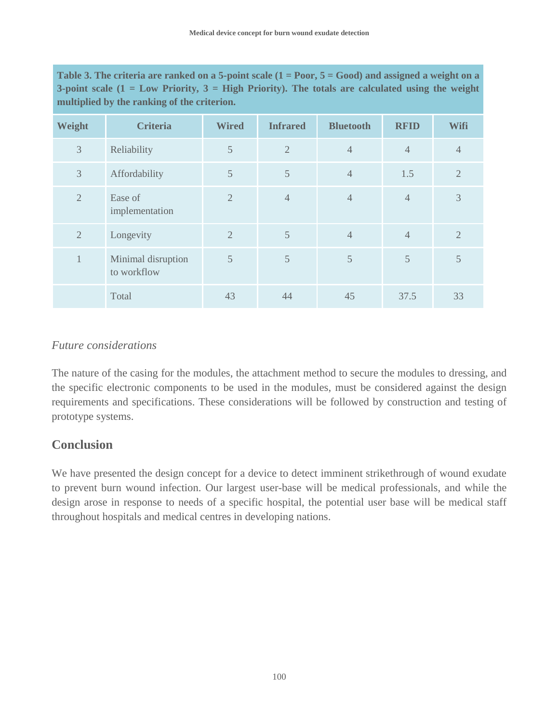**Table 3. The criteria are ranked on a 5-point scale (1 = Poor, 5 = Good) and assigned a weight on a 3-point scale (1 = Low Priority, 3 = High Priority). The totals are calculated using the weight multiplied by the ranking of the criterion.** 

| Weight         | <b>Criteria</b>                   | <b>Wired</b>   | <b>Infrared</b> | <b>Bluetooth</b> | <b>RFID</b>    | Wifi           |
|----------------|-----------------------------------|----------------|-----------------|------------------|----------------|----------------|
| 3              | Reliability                       | 5              | $\overline{2}$  | $\overline{4}$   | $\overline{4}$ | $\overline{4}$ |
| 3              | Affordability                     | 5              | 5               | $\overline{4}$   | 1.5            | $\overline{2}$ |
| $\overline{2}$ | Ease of<br>implementation         | $\overline{2}$ | $\overline{4}$  | $\overline{4}$   | $\overline{4}$ | 3              |
| $\overline{2}$ | Longevity                         | $\overline{2}$ | 5               | $\overline{4}$   | $\overline{4}$ | $\overline{2}$ |
| 1              | Minimal disruption<br>to workflow | 5              | 5               | 5                | 5              | 5              |
|                | Total                             | 43             | 44              | 45               | 37.5           | 33             |

#### *Future considerations*

The nature of the casing for the modules, the attachment method to secure the modules to dressing, and the specific electronic components to be used in the modules, must be considered against the design requirements and specifications. These considerations will be followed by construction and testing of prototype systems.

## **Conclusion**

We have presented the design concept for a device to detect imminent strikethrough of wound exudate to prevent burn wound infection. Our largest user-base will be medical professionals, and while the design arose in response to needs of a specific hospital, the potential user base will be medical staff throughout hospitals and medical centres in developing nations.